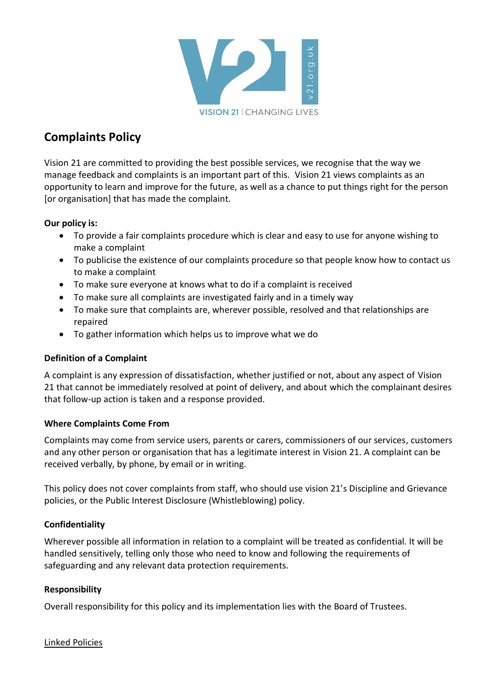

# **Complaints Policy**

Vision 21 are committed to providing the best possible services, we recognise that the way we manage feedback and complaints is an important part of this. Vision 21 views complaints as an opportunity to learn and improve for the future, as well as a chance to put things right for the person [or organisation] that has made the complaint.

### **Our policy is:**

- To provide a fair complaints procedure which is clear and easy to use for anyone wishing to make a complaint
- To publicise the existence of our complaints procedure so that people know how to contact us to make a complaint
- To make sure everyone at knows what to do if a complaint is received
- To make sure all complaints are investigated fairly and in a timely way
- To make sure that complaints are, wherever possible, resolved and that relationships are repaired
- To gather information which helps us to improve what we do

### **Definition of a Complaint**

A complaint is any expression of dissatisfaction, whether justified or not, about any aspect of Vision 21 that cannot be immediately resolved at point of delivery, and about which the complainant desires that follow-up action is taken and a response provided.

### **Where Complaints Come From**

Complaints may come from service users, parents or carers, commissioners of our services, customers and any other person or organisation that has a legitimate interest in Vision 21. A complaint can be received verbally, by phone, by email or in writing.

This policy does not cover complaints from staff, who should use vision 21's Discipline and Grievance policies, or the Public Interest Disclosure (Whistleblowing) policy.

### **Confidentiality**

Wherever possible all information in relation to a complaint will be treated as confidential. It will be handled sensitively, telling only those who need to know and following the requirements of safeguarding and any relevant data protection requirements.

### **Responsibility**

Overall responsibility for this policy and its implementation lies with the Board of Trustees.